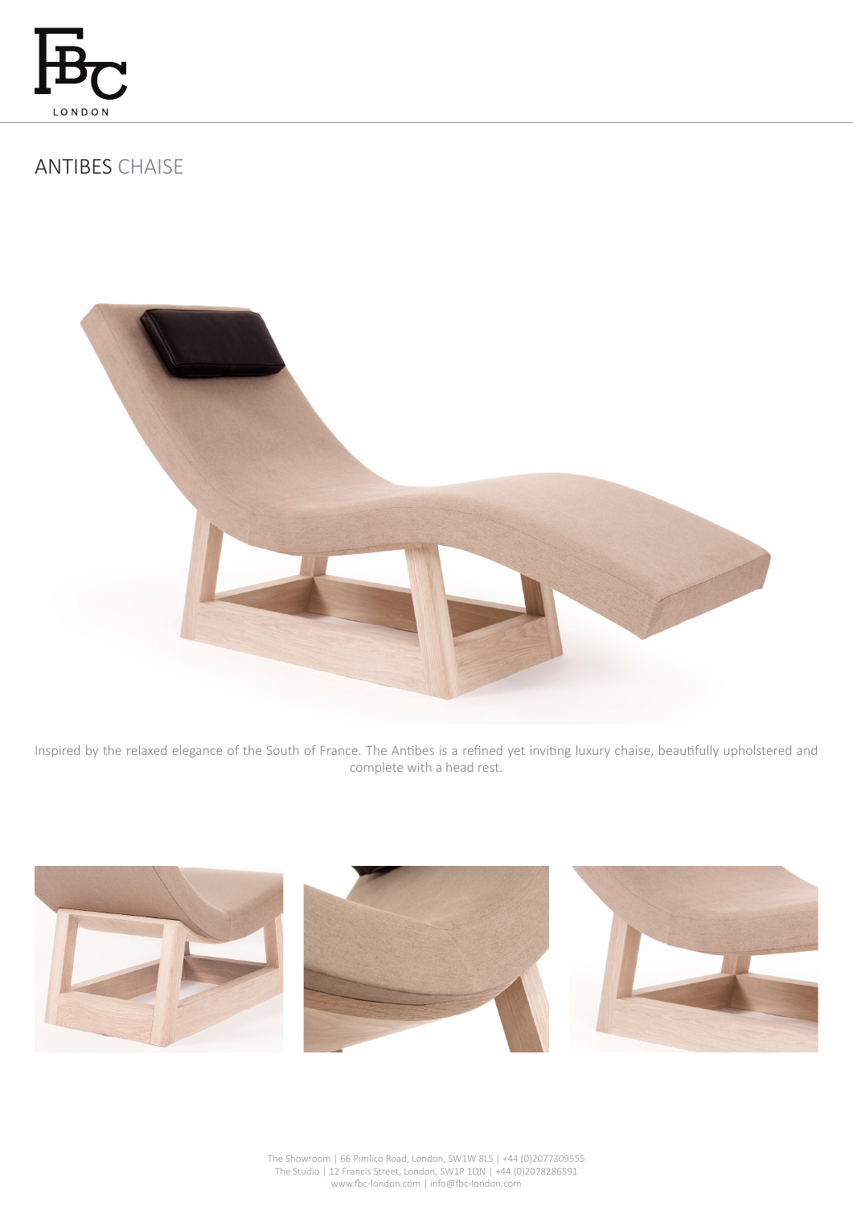

# ANTIBES CHAISE



Inspired by the relaxed elegance of the South of France. The Antibes is a refined yet inviting luxury chaise, beautifully upholstered and complete with a head rest.